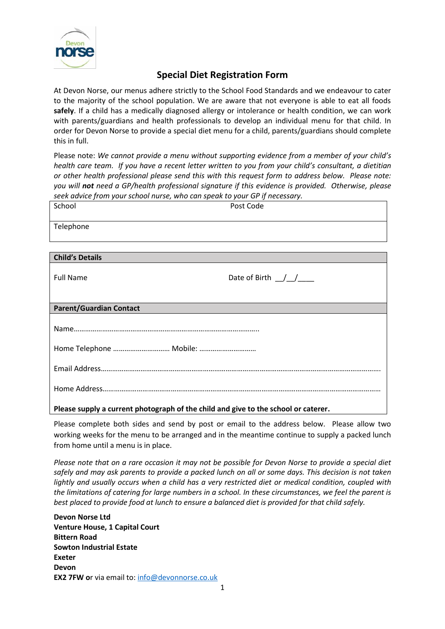

## **Special Diet Registration Form**

At Devon Norse, our menus adhere strictly to the School Food Standards and we endeavour to cater to the majority of the school population. We are aware that not everyone is able to eat all foods **safely**. If a child has a medically diagnosed allergy or intolerance or health condition, we can work with parents/guardians and health professionals to develop an individual menu for that child. In order for Devon Norse to provide a special diet menu for a child, parents/guardians should complete this in full.

Please note: *We cannot provide a menu without supporting evidence from a member of your child's health care team. If you have a recent letter written to you from your child's consultant, a dietitian or other health professional please send this with this request form to address below. Please note: you will not need a GP/health professional signature if this evidence is provided. Otherwise, please seek advice from your school nurse, who can speak to your GP if necessary.*

| School                                                                             | Post Code              |  |
|------------------------------------------------------------------------------------|------------------------|--|
| Telephone                                                                          |                        |  |
|                                                                                    |                        |  |
| <b>Child's Details</b>                                                             |                        |  |
| <b>Full Name</b>                                                                   | Date of Birth $\angle$ |  |
| <b>Parent/Guardian Contact</b>                                                     |                        |  |
|                                                                                    |                        |  |
|                                                                                    |                        |  |
|                                                                                    |                        |  |
|                                                                                    |                        |  |
| Please supply a current photograph of the child and give to the school or caterer. |                        |  |

Please complete both sides and send by post or email to the address below. Please allow two working weeks for the menu to be arranged and in the meantime continue to supply a packed lunch from home until a menu is in place.

*Please note that on a rare occasion it may not be possible for Devon Norse to provide a special diet safely and may ask parents to provide a packed lunch on all or some days. This decision is not taken lightly and usually occurs when a child has a very restricted diet or medical condition, coupled with the limitations of catering for large numbers in a school. In these circumstances, we feel the parent is*  best placed to provide food at lunch to ensure a balanced diet is provided for that child safely.

**Devon Norse Ltd Venture House, 1 Capital Court Bittern Road Sowton Industrial Estate Exeter Devon EX2 7FW o**r via email to: [info@devonnorse.co.uk](mailto:info@devonnorse.co.uk)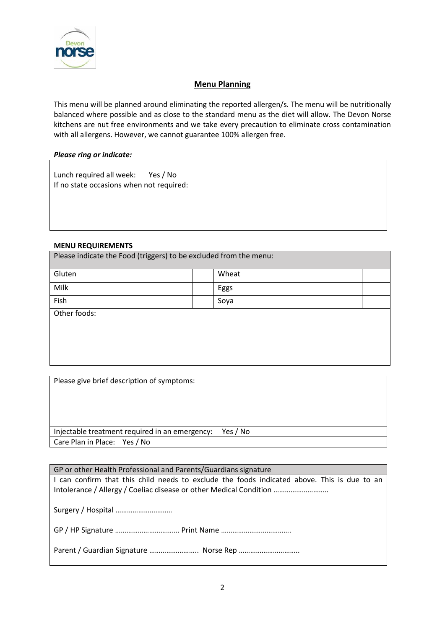

## **Menu Planning**

This menu will be planned around eliminating the reported allergen/s. The menu will be nutritionally balanced where possible and as close to the standard menu as the diet will allow. The Devon Norse kitchens are nut free environments and we take every precaution to eliminate cross contamination with all allergens. However, we cannot guarantee 100% allergen free.

## *Please ring or indicate:*

Lunch required all week: Yes / No If no state occasions when not required:

## **MENU REQUIREMENTS**

Please indicate the Food (triggers) to be excluded from the menu:

| Gluten |  | Wheat |  |
|--------|--|-------|--|
| Milk   |  | Eggs  |  |
| Fish   |  | Soya  |  |
| .      |  |       |  |

Other foods:

Please give brief description of symptoms:

Injectable treatment required in an emergency: Yes / No Care Plan in Place: Yes / No

| GP or other Health Professional and Parents/Guardians signature                                                                                                   |  |  |
|-------------------------------------------------------------------------------------------------------------------------------------------------------------------|--|--|
| I can confirm that this child needs to exclude the foods indicated above. This is due to an<br>Intolerance / Allergy / Coeliac disease or other Medical Condition |  |  |
|                                                                                                                                                                   |  |  |
|                                                                                                                                                                   |  |  |
| Parent / Guardian Signature  Norse Rep                                                                                                                            |  |  |